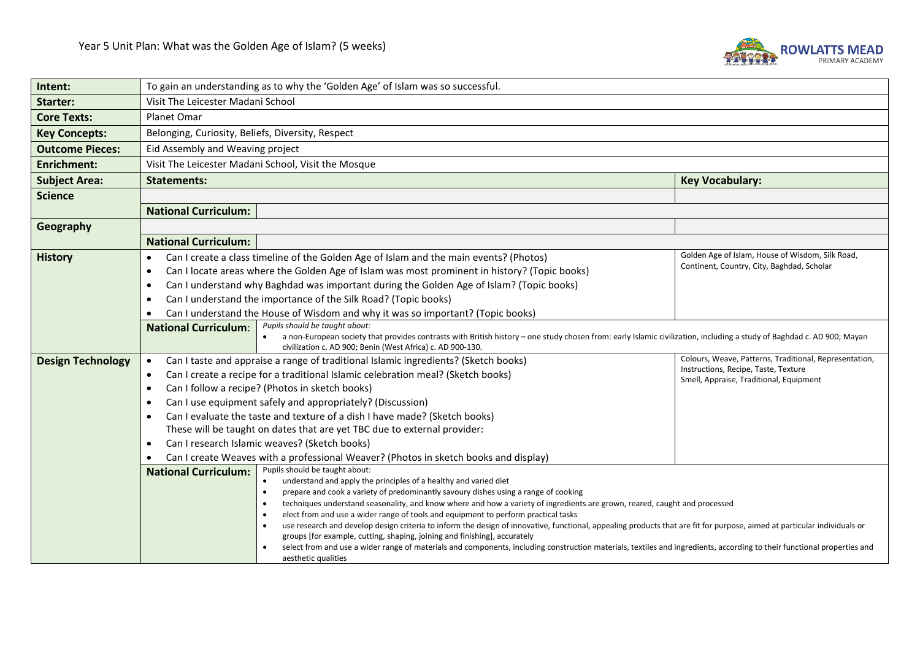

| Intent:                  | To gain an understanding as to why the 'Golden Age' of Islam was so successful.                                                                                                                                                         |                                                                                                                                                                                                |                                                                                 |  |
|--------------------------|-----------------------------------------------------------------------------------------------------------------------------------------------------------------------------------------------------------------------------------------|------------------------------------------------------------------------------------------------------------------------------------------------------------------------------------------------|---------------------------------------------------------------------------------|--|
| <b>Starter:</b>          | Visit The Leicester Madani School                                                                                                                                                                                                       |                                                                                                                                                                                                |                                                                                 |  |
| <b>Core Texts:</b>       | <b>Planet Omar</b>                                                                                                                                                                                                                      |                                                                                                                                                                                                |                                                                                 |  |
| <b>Key Concepts:</b>     |                                                                                                                                                                                                                                         | Belonging, Curiosity, Beliefs, Diversity, Respect                                                                                                                                              |                                                                                 |  |
| <b>Outcome Pieces:</b>   |                                                                                                                                                                                                                                         | Eid Assembly and Weaving project                                                                                                                                                               |                                                                                 |  |
| <b>Enrichment:</b>       |                                                                                                                                                                                                                                         | Visit The Leicester Madani School, Visit the Mosque                                                                                                                                            |                                                                                 |  |
| <b>Subject Area:</b>     | <b>Statements:</b>                                                                                                                                                                                                                      |                                                                                                                                                                                                | <b>Key Vocabulary:</b>                                                          |  |
| <b>Science</b>           |                                                                                                                                                                                                                                         |                                                                                                                                                                                                |                                                                                 |  |
|                          | <b>National Curriculum:</b>                                                                                                                                                                                                             |                                                                                                                                                                                                |                                                                                 |  |
| Geography                |                                                                                                                                                                                                                                         |                                                                                                                                                                                                |                                                                                 |  |
|                          | <b>National Curriculum:</b>                                                                                                                                                                                                             |                                                                                                                                                                                                |                                                                                 |  |
| <b>History</b>           | $\bullet$                                                                                                                                                                                                                               | Can I create a class timeline of the Golden Age of Islam and the main events? (Photos)                                                                                                         | Golden Age of Islam, House of Wisdom, Silk Road,                                |  |
|                          | $\bullet$                                                                                                                                                                                                                               | Can I locate areas where the Golden Age of Islam was most prominent in history? (Topic books)                                                                                                  | Continent, Country, City, Baghdad, Scholar                                      |  |
|                          | Can I understand why Baghdad was important during the Golden Age of Islam? (Topic books)<br>$\bullet$                                                                                                                                   |                                                                                                                                                                                                |                                                                                 |  |
|                          | Can I understand the importance of the Silk Road? (Topic books)<br>$\bullet$                                                                                                                                                            |                                                                                                                                                                                                |                                                                                 |  |
|                          | Can I understand the House of Wisdom and why it was so important? (Topic books)<br>$\bullet$                                                                                                                                            |                                                                                                                                                                                                |                                                                                 |  |
|                          | Pupils should be taught about:<br><b>National Curriculum:</b><br>a non-European society that provides contrasts with British history – one study chosen from: early Islamic civilization, including a study of Baghdad c. AD 900; Mayan |                                                                                                                                                                                                |                                                                                 |  |
|                          |                                                                                                                                                                                                                                         | civilization c. AD 900; Benin (West Africa) c. AD 900-130.                                                                                                                                     |                                                                                 |  |
| <b>Design Technology</b> | Can I taste and appraise a range of traditional Islamic ingredients? (Sketch books)<br>$\bullet$                                                                                                                                        |                                                                                                                                                                                                | Colours, Weave, Patterns, Traditional, Representation,                          |  |
|                          | $\bullet$                                                                                                                                                                                                                               | Can I create a recipe for a traditional Islamic celebration meal? (Sketch books)                                                                                                               | Instructions, Recipe, Taste, Texture<br>Smell, Appraise, Traditional, Equipment |  |
|                          | $\bullet$                                                                                                                                                                                                                               | Can I follow a recipe? (Photos in sketch books)                                                                                                                                                |                                                                                 |  |
|                          | $\bullet$                                                                                                                                                                                                                               | Can I use equipment safely and appropriately? (Discussion)                                                                                                                                     |                                                                                 |  |
|                          | $\bullet$                                                                                                                                                                                                                               | Can I evaluate the taste and texture of a dish I have made? (Sketch books)                                                                                                                     |                                                                                 |  |
|                          |                                                                                                                                                                                                                                         | These will be taught on dates that are yet TBC due to external provider:                                                                                                                       |                                                                                 |  |
|                          | $\bullet$                                                                                                                                                                                                                               | Can I research Islamic weaves? (Sketch books)                                                                                                                                                  |                                                                                 |  |
|                          | $\bullet$                                                                                                                                                                                                                               | Can I create Weaves with a professional Weaver? (Photos in sketch books and display)                                                                                                           |                                                                                 |  |
|                          | <b>National Curriculum:</b>                                                                                                                                                                                                             | Pupils should be taught about:                                                                                                                                                                 |                                                                                 |  |
|                          |                                                                                                                                                                                                                                         | understand and apply the principles of a healthy and varied diet<br>prepare and cook a variety of predominantly savoury dishes using a range of cooking<br>$\bullet$                           |                                                                                 |  |
|                          |                                                                                                                                                                                                                                         | techniques understand seasonality, and know where and how a variety of ingredients are grown, reared, caught and processed<br>$\bullet$                                                        |                                                                                 |  |
|                          |                                                                                                                                                                                                                                         | elect from and use a wider range of tools and equipment to perform practical tasks<br>$\bullet$                                                                                                |                                                                                 |  |
|                          |                                                                                                                                                                                                                                         | use research and develop design criteria to inform the design of innovative, functional, appealing products that are fit for purpose, aimed at particular individuals or<br>$\bullet$          |                                                                                 |  |
|                          |                                                                                                                                                                                                                                         | groups [for example, cutting, shaping, joining and finishing], accurately                                                                                                                      |                                                                                 |  |
|                          |                                                                                                                                                                                                                                         | select from and use a wider range of materials and components, including construction materials, textiles and ingredients, according to their functional properties and<br>aesthetic qualities |                                                                                 |  |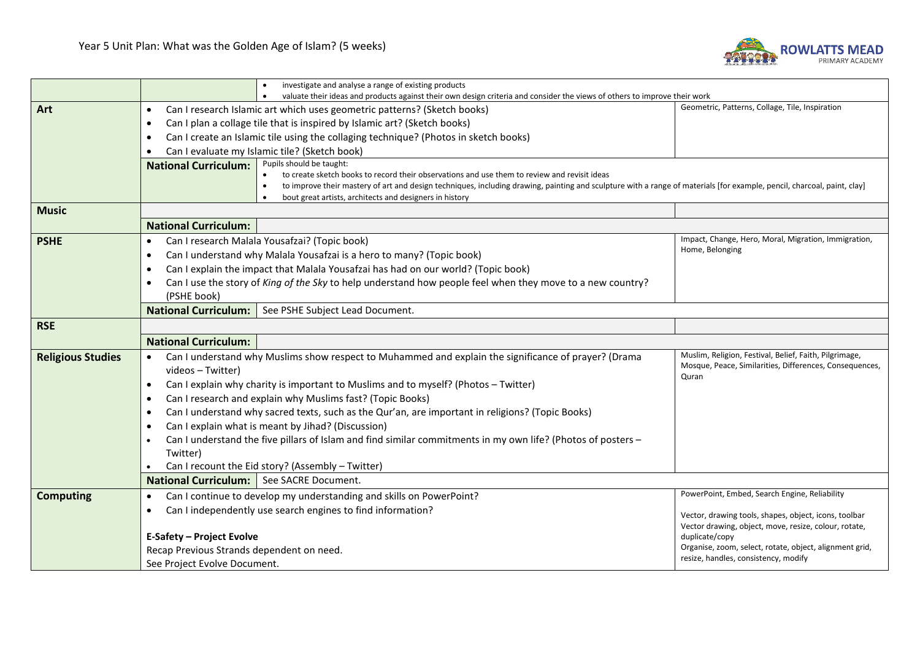

|                          | investigate and analyse a range of existing products                                                                                                                                                                                            |                                                                                                                                                                              |  |
|--------------------------|-------------------------------------------------------------------------------------------------------------------------------------------------------------------------------------------------------------------------------------------------|------------------------------------------------------------------------------------------------------------------------------------------------------------------------------|--|
|                          |                                                                                                                                                                                                                                                 | valuate their ideas and products against their own design criteria and consider the views of others to improve their work<br>Geometric, Patterns, Collage, Tile, Inspiration |  |
| Art                      | Can I research Islamic art which uses geometric patterns? (Sketch books)<br>$\bullet$                                                                                                                                                           |                                                                                                                                                                              |  |
|                          | Can I plan a collage tile that is inspired by Islamic art? (Sketch books)<br>٠                                                                                                                                                                  |                                                                                                                                                                              |  |
|                          | Can I create an Islamic tile using the collaging technique? (Photos in sketch books)<br>٠                                                                                                                                                       |                                                                                                                                                                              |  |
|                          | Can I evaluate my Islamic tile? (Sketch book)                                                                                                                                                                                                   |                                                                                                                                                                              |  |
|                          | Pupils should be taught:<br><b>National Curriculum:</b><br>to create sketch books to record their observations and use them to review and revisit ideas                                                                                         |                                                                                                                                                                              |  |
|                          | to improve their mastery of art and design techniques, including drawing, painting and sculpture with a range of materials [for example, pencil, charcoal, paint, clay]<br>$\bullet$<br>bout great artists, architects and designers in history |                                                                                                                                                                              |  |
| <b>Music</b>             |                                                                                                                                                                                                                                                 |                                                                                                                                                                              |  |
|                          | <b>National Curriculum:</b>                                                                                                                                                                                                                     |                                                                                                                                                                              |  |
| <b>PSHE</b>              | Can I research Malala Yousafzai? (Topic book)<br>$\bullet$                                                                                                                                                                                      | Impact, Change, Hero, Moral, Migration, Immigration,                                                                                                                         |  |
|                          | Can I understand why Malala Yousafzai is a hero to many? (Topic book)<br>$\bullet$                                                                                                                                                              | Home, Belonging                                                                                                                                                              |  |
|                          | Can I explain the impact that Malala Yousafzai has had on our world? (Topic book)<br>$\bullet$                                                                                                                                                  |                                                                                                                                                                              |  |
|                          | Can I use the story of King of the Sky to help understand how people feel when they move to a new country?                                                                                                                                      |                                                                                                                                                                              |  |
|                          | (PSHE book)                                                                                                                                                                                                                                     |                                                                                                                                                                              |  |
|                          | National Curriculum:   See PSHE Subject Lead Document.                                                                                                                                                                                          |                                                                                                                                                                              |  |
| <b>RSE</b>               |                                                                                                                                                                                                                                                 |                                                                                                                                                                              |  |
|                          | <b>National Curriculum:</b>                                                                                                                                                                                                                     |                                                                                                                                                                              |  |
| <b>Religious Studies</b> | Can I understand why Muslims show respect to Muhammed and explain the significance of prayer? (Drama<br>$\bullet$                                                                                                                               | Muslim, Religion, Festival, Belief, Faith, Pilgrimage,                                                                                                                       |  |
|                          | videos - Twitter)                                                                                                                                                                                                                               | Mosque, Peace, Similarities, Differences, Consequences,                                                                                                                      |  |
|                          | Quran<br>Can I explain why charity is important to Muslims and to myself? (Photos - Twitter)<br>$\bullet$                                                                                                                                       |                                                                                                                                                                              |  |
|                          | Can I research and explain why Muslims fast? (Topic Books)<br>$\bullet$                                                                                                                                                                         |                                                                                                                                                                              |  |
|                          | Can I understand why sacred texts, such as the Qur'an, are important in religions? (Topic Books)<br>$\bullet$                                                                                                                                   |                                                                                                                                                                              |  |
|                          | Can I explain what is meant by Jihad? (Discussion)                                                                                                                                                                                              |                                                                                                                                                                              |  |
|                          | Can I understand the five pillars of Islam and find similar commitments in my own life? (Photos of posters -                                                                                                                                    |                                                                                                                                                                              |  |
|                          | Twitter)                                                                                                                                                                                                                                        |                                                                                                                                                                              |  |
|                          | Can I recount the Eid story? (Assembly - Twitter)                                                                                                                                                                                               |                                                                                                                                                                              |  |
|                          | National Curriculum:   See SACRE Document.                                                                                                                                                                                                      |                                                                                                                                                                              |  |
| <b>Computing</b>         | Can I continue to develop my understanding and skills on PowerPoint?<br>$\bullet$                                                                                                                                                               | PowerPoint, Embed, Search Engine, Reliability                                                                                                                                |  |
|                          | Can I independently use search engines to find information?<br>$\bullet$                                                                                                                                                                        | Vector, drawing tools, shapes, object, icons, toolbar                                                                                                                        |  |
|                          |                                                                                                                                                                                                                                                 | Vector drawing, object, move, resize, colour, rotate,                                                                                                                        |  |
|                          | <b>E-Safety - Project Evolve</b>                                                                                                                                                                                                                | duplicate/copy                                                                                                                                                               |  |
|                          | Recap Previous Strands dependent on need.                                                                                                                                                                                                       | Organise, zoom, select, rotate, object, alignment grid,<br>resize, handles, consistency, modify                                                                              |  |
|                          | See Project Evolve Document.                                                                                                                                                                                                                    |                                                                                                                                                                              |  |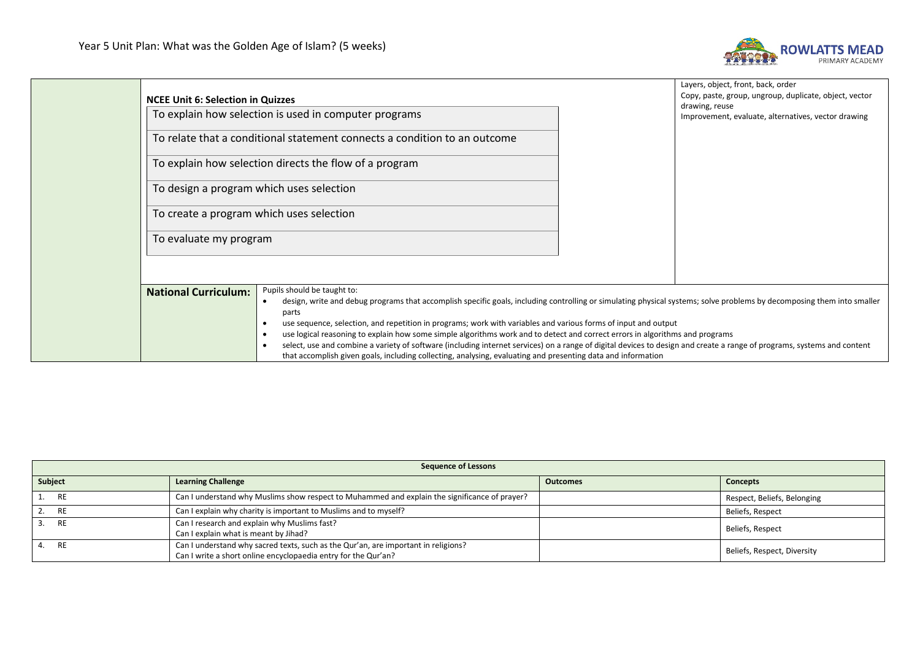

|  | <b>NCEE Unit 6: Selection in Quizzes</b>                                                                                                                                                                                                                                                                                                                                                                                                                                                                                                                                                                                                                                                                                                                                                                                          |                                                        |                                                                       | Layers, object, front, back, order<br>Copy, paste, group, ungroup, duplicate, object, vector |
|--|-----------------------------------------------------------------------------------------------------------------------------------------------------------------------------------------------------------------------------------------------------------------------------------------------------------------------------------------------------------------------------------------------------------------------------------------------------------------------------------------------------------------------------------------------------------------------------------------------------------------------------------------------------------------------------------------------------------------------------------------------------------------------------------------------------------------------------------|--------------------------------------------------------|-----------------------------------------------------------------------|----------------------------------------------------------------------------------------------|
|  | To explain how selection is used in computer programs                                                                                                                                                                                                                                                                                                                                                                                                                                                                                                                                                                                                                                                                                                                                                                             |                                                        | drawing, reuse<br>Improvement, evaluate, alternatives, vector drawing |                                                                                              |
|  | To relate that a conditional statement connects a condition to an outcome                                                                                                                                                                                                                                                                                                                                                                                                                                                                                                                                                                                                                                                                                                                                                         |                                                        |                                                                       |                                                                                              |
|  |                                                                                                                                                                                                                                                                                                                                                                                                                                                                                                                                                                                                                                                                                                                                                                                                                                   | To explain how selection directs the flow of a program |                                                                       |                                                                                              |
|  | To design a program which uses selection<br>To create a program which uses selection                                                                                                                                                                                                                                                                                                                                                                                                                                                                                                                                                                                                                                                                                                                                              |                                                        |                                                                       |                                                                                              |
|  |                                                                                                                                                                                                                                                                                                                                                                                                                                                                                                                                                                                                                                                                                                                                                                                                                                   |                                                        |                                                                       |                                                                                              |
|  | To evaluate my program                                                                                                                                                                                                                                                                                                                                                                                                                                                                                                                                                                                                                                                                                                                                                                                                            |                                                        |                                                                       |                                                                                              |
|  |                                                                                                                                                                                                                                                                                                                                                                                                                                                                                                                                                                                                                                                                                                                                                                                                                                   |                                                        |                                                                       |                                                                                              |
|  | Pupils should be taught to:<br><b>National Curriculum:</b><br>design, write and debug programs that accomplish specific goals, including controlling or simulating physical systems; solve problems by decomposing them into smaller<br>$\bullet$<br>parts<br>use sequence, selection, and repetition in programs; work with variables and various forms of input and output<br>use logical reasoning to explain how some simple algorithms work and to detect and correct errors in algorithms and programs<br>$\bullet$<br>select, use and combine a variety of software (including internet services) on a range of digital devices to design and create a range of programs, systems and content<br>$\bullet$<br>that accomplish given goals, including collecting, analysing, evaluating and presenting data and information |                                                        |                                                                       |                                                                                              |

| <b>Sequence of Lessons</b> |                                                                                                                                                      |                 |                             |
|----------------------------|------------------------------------------------------------------------------------------------------------------------------------------------------|-----------------|-----------------------------|
| Subject                    | <b>Learning Challenge</b>                                                                                                                            | <b>Outcomes</b> | <b>Concepts</b>             |
| 1. RE                      | Can I understand why Muslims show respect to Muhammed and explain the significance of prayer?                                                        |                 | Respect, Beliefs, Belonging |
| 2. RE                      | Can I explain why charity is important to Muslims and to myself?                                                                                     |                 | Beliefs, Respect            |
| 3. RE                      | Can I research and explain why Muslims fast?<br>Can I explain what is meant by Jihad?                                                                |                 | Beliefs, Respect            |
| 4. RE                      | Can I understand why sacred texts, such as the Qur'an, are important in religions?<br>Can I write a short online encyclopaedia entry for the Qur'an? |                 | Beliefs, Respect, Diversity |